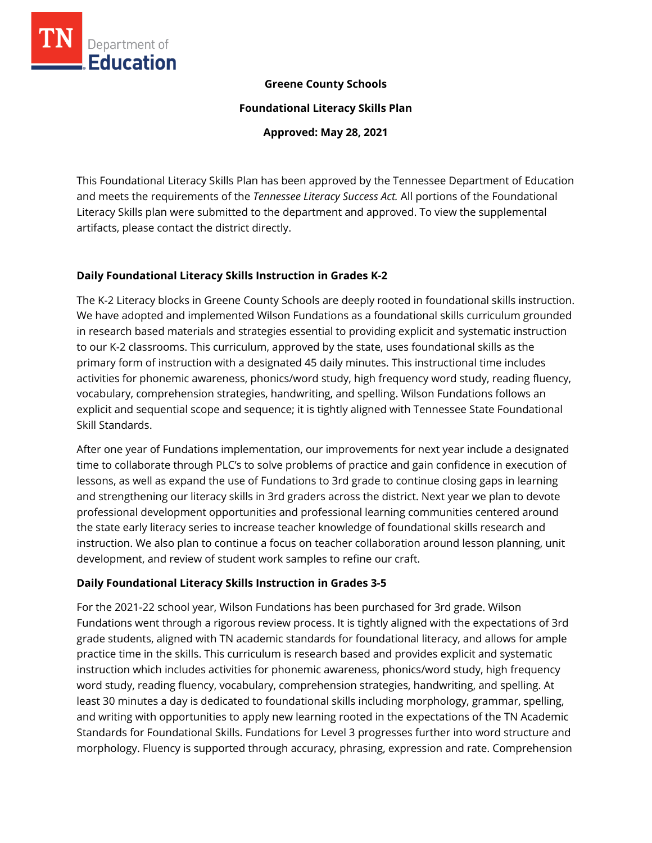

#### **Greene County Schools**

**Foundational Literacy Skills Plan**

**Approved: May 28, 2021**

This Foundational Literacy Skills Plan has been approved by the Tennessee Department of Education and meets the requirements of the *Tennessee Literacy Success Act.* All portions of the Foundational Literacy Skills plan were submitted to the department and approved. To view the supplemental artifacts, please contact the district directly.

### **Daily Foundational Literacy Skills Instruction in Grades K-2**

The K-2 Literacy blocks in Greene County Schools are deeply rooted in foundational skills instruction. We have adopted and implemented Wilson Fundations as a foundational skills curriculum grounded in research based materials and strategies essential to providing explicit and systematic instruction to our K-2 classrooms. This curriculum, approved by the state, uses foundational skills as the primary form of instruction with a designated 45 daily minutes. This instructional time includes activities for phonemic awareness, phonics/word study, high frequency word study, reading fluency, vocabulary, comprehension strategies, handwriting, and spelling. Wilson Fundations follows an explicit and sequential scope and sequence; it is tightly aligned with Tennessee State Foundational Skill Standards.

After one year of Fundations implementation, our improvements for next year include a designated time to collaborate through PLC's to solve problems of practice and gain confidence in execution of lessons, as well as expand the use of Fundations to 3rd grade to continue closing gaps in learning and strengthening our literacy skills in 3rd graders across the district. Next year we plan to devote professional development opportunities and professional learning communities centered around the state early literacy series to increase teacher knowledge of foundational skills research and instruction. We also plan to continue a focus on teacher collaboration around lesson planning, unit development, and review of student work samples to refine our craft.

### **Daily Foundational Literacy Skills Instruction in Grades 3-5**

For the 2021-22 school year, Wilson Fundations has been purchased for 3rd grade. Wilson Fundations went through a rigorous review process. It is tightly aligned with the expectations of 3rd grade students, aligned with TN academic standards for foundational literacy, and allows for ample practice time in the skills. This curriculum is research based and provides explicit and systematic instruction which includes activities for phonemic awareness, phonics/word study, high frequency word study, reading fluency, vocabulary, comprehension strategies, handwriting, and spelling. At least 30 minutes a day is dedicated to foundational skills including morphology, grammar, spelling, and writing with opportunities to apply new learning rooted in the expectations of the TN Academic Standards for Foundational Skills. Fundations for Level 3 progresses further into word structure and morphology. Fluency is supported through accuracy, phrasing, expression and rate. Comprehension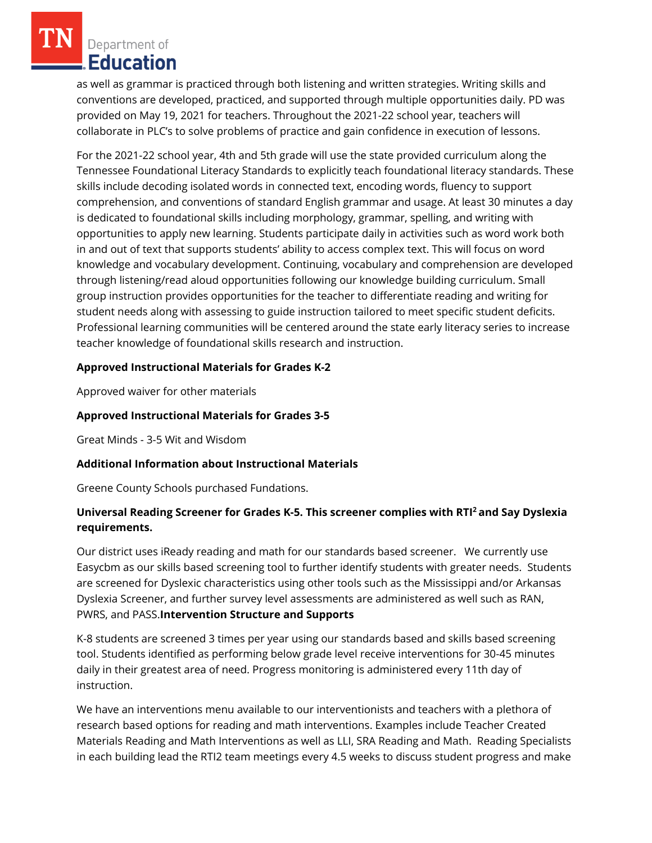Department of Education

as well as grammar is practiced through both listening and written strategies. Writing skills and conventions are developed, practiced, and supported through multiple opportunities daily. PD was provided on May 19, 2021 for teachers. Throughout the 2021-22 school year, teachers will collaborate in PLC's to solve problems of practice and gain confidence in execution of lessons.

For the 2021-22 school year, 4th and 5th grade will use the state provided curriculum along the Tennessee Foundational Literacy Standards to explicitly teach foundational literacy standards. These skills include decoding isolated words in connected text, encoding words, fluency to support comprehension, and conventions of standard English grammar and usage. At least 30 minutes a day is dedicated to foundational skills including morphology, grammar, spelling, and writing with opportunities to apply new learning. Students participate daily in activities such as word work both in and out of text that supports students' ability to access complex text. This will focus on word knowledge and vocabulary development. Continuing, vocabulary and comprehension are developed through listening/read aloud opportunities following our knowledge building curriculum. Small group instruction provides opportunities for the teacher to differentiate reading and writing for student needs along with assessing to guide instruction tailored to meet specific student deficits. Professional learning communities will be centered around the state early literacy series to increase teacher knowledge of foundational skills research and instruction.

## **Approved Instructional Materials for Grades K-2**

Approved waiver for other materials

## **Approved Instructional Materials for Grades 3-5**

Great Minds - 3-5 Wit and Wisdom

### **Additional Information about Instructional Materials**

Greene County Schools purchased Fundations.

# **Universal Reading Screener for Grades K-5. This screener complies with RTI<sup>2</sup>and Say Dyslexia requirements.**

Our district uses iReady reading and math for our standards based screener. We currently use Easycbm as our skills based screening tool to further identify students with greater needs. Students are screened for Dyslexic characteristics using other tools such as the Mississippi and/or Arkansas Dyslexia Screener, and further survey level assessments are administered as well such as RAN, PWRS, and PASS.**Intervention Structure and Supports**

K-8 students are screened 3 times per year using our standards based and skills based screening tool. Students identified as performing below grade level receive interventions for 30-45 minutes daily in their greatest area of need. Progress monitoring is administered every 11th day of instruction.

We have an interventions menu available to our interventionists and teachers with a plethora of research based options for reading and math interventions. Examples include Teacher Created Materials Reading and Math Interventions as well as LLI, SRA Reading and Math. Reading Specialists in each building lead the RTI2 team meetings every 4.5 weeks to discuss student progress and make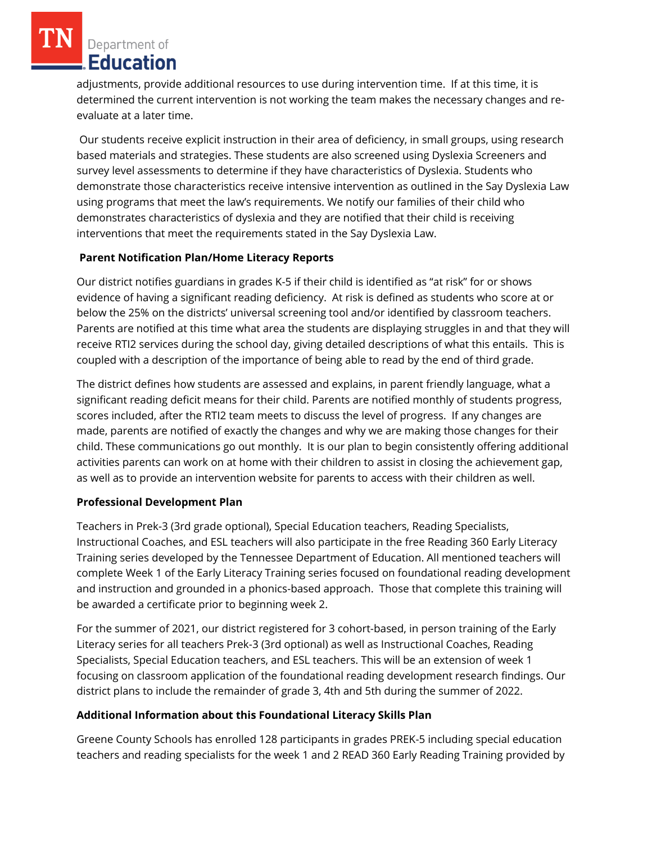Department of Education

adjustments, provide additional resources to use during intervention time. If at this time, it is determined the current intervention is not working the team makes the necessary changes and reevaluate at a later time.

Our students receive explicit instruction in their area of deficiency, in small groups, using research based materials and strategies. These students are also screened using Dyslexia Screeners and survey level assessments to determine if they have characteristics of Dyslexia. Students who demonstrate those characteristics receive intensive intervention as outlined in the Say Dyslexia Law using programs that meet the law's requirements. We notify our families of their child who demonstrates characteristics of dyslexia and they are notified that their child is receiving interventions that meet the requirements stated in the Say Dyslexia Law.

## **Parent Notification Plan/Home Literacy Reports**

Our district notifies guardians in grades K-5 if their child is identified as "at risk" for or shows evidence of having a significant reading deficiency. At risk is defined as students who score at or below the 25% on the districts' universal screening tool and/or identified by classroom teachers. Parents are notified at this time what area the students are displaying struggles in and that they will receive RTI2 services during the school day, giving detailed descriptions of what this entails. This is coupled with a description of the importance of being able to read by the end of third grade.

The district defines how students are assessed and explains, in parent friendly language, what a significant reading deficit means for their child. Parents are notified monthly of students progress, scores included, after the RTI2 team meets to discuss the level of progress. If any changes are made, parents are notified of exactly the changes and why we are making those changes for their child. These communications go out monthly. It is our plan to begin consistently offering additional activities parents can work on at home with their children to assist in closing the achievement gap, as well as to provide an intervention website for parents to access with their children as well.

### **Professional Development Plan**

Teachers in Prek-3 (3rd grade optional), Special Education teachers, Reading Specialists, Instructional Coaches, and ESL teachers will also participate in the free Reading 360 Early Literacy Training series developed by the Tennessee Department of Education. All mentioned teachers will complete Week 1 of the Early Literacy Training series focused on foundational reading development and instruction and grounded in a phonics-based approach. Those that complete this training will be awarded a certificate prior to beginning week 2.

For the summer of 2021, our district registered for 3 cohort-based, in person training of the Early Literacy series for all teachers Prek-3 (3rd optional) as well as Instructional Coaches, Reading Specialists, Special Education teachers, and ESL teachers. This will be an extension of week 1 focusing on classroom application of the foundational reading development research findings. Our district plans to include the remainder of grade 3, 4th and 5th during the summer of 2022.

# **Additional Information about this Foundational Literacy Skills Plan**

Greene County Schools has enrolled 128 participants in grades PREK-5 including special education teachers and reading specialists for the week 1 and 2 READ 360 Early Reading Training provided by